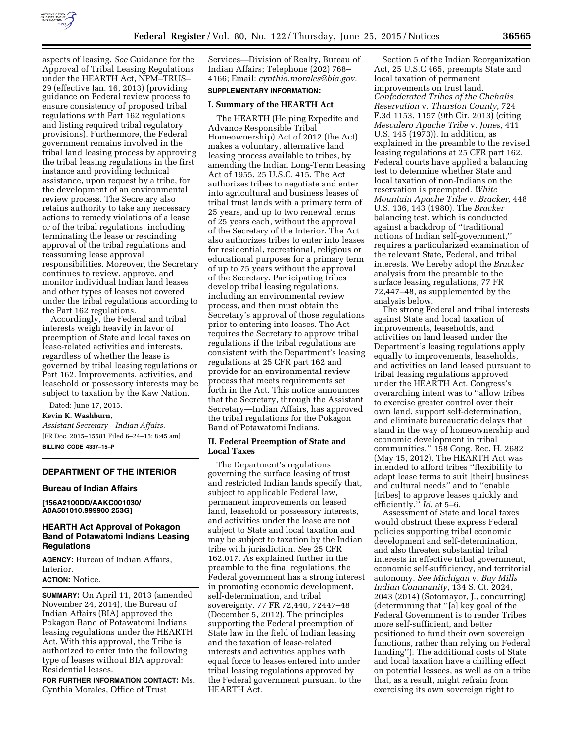

aspects of leasing. *See* Guidance for the Approval of Tribal Leasing Regulations under the HEARTH Act, NPM–TRUS– 29 (effective Jan. 16, 2013) (providing guidance on Federal review process to ensure consistency of proposed tribal regulations with Part 162 regulations and listing required tribal regulatory provisions). Furthermore, the Federal government remains involved in the tribal land leasing process by approving the tribal leasing regulations in the first instance and providing technical assistance, upon request by a tribe, for the development of an environmental review process. The Secretary also retains authority to take any necessary actions to remedy violations of a lease or of the tribal regulations, including terminating the lease or rescinding approval of the tribal regulations and reassuming lease approval responsibilities. Moreover, the Secretary continues to review, approve, and monitor individual Indian land leases and other types of leases not covered under the tribal regulations according to the Part 162 regulations.

Accordingly, the Federal and tribal interests weigh heavily in favor of preemption of State and local taxes on lease-related activities and interests, regardless of whether the lease is governed by tribal leasing regulations or Part 162. Improvements, activities, and leasehold or possessory interests may be subject to taxation by the Kaw Nation.

Dated: June 17, 2015.

**Kevin K. Washburn,** 

*Assistant Secretary—Indian Affairs.*  [FR Doc. 2015–15581 Filed 6–24–15; 8:45 am] **BILLING CODE 4337–15–P** 

### **DEPARTMENT OF THE INTERIOR**

#### **Bureau of Indian Affairs**

**[156A2100DD/AAKC001030/ A0A501010.999900 253G]** 

# **HEARTH Act Approval of Pokagon Band of Potawatomi Indians Leasing Regulations**

**AGENCY:** Bureau of Indian Affairs, Interior.

# **ACTION:** Notice.

**SUMMARY:** On April 11, 2013 (amended November 24, 2014), the Bureau of Indian Affairs (BIA) approved the Pokagon Band of Potawatomi Indians leasing regulations under the HEARTH Act. With this approval, the Tribe is authorized to enter into the following type of leases without BIA approval: Residential leases.

**FOR FURTHER INFORMATION CONTACT:** Ms. Cynthia Morales, Office of Trust

Services—Division of Realty, Bureau of Indian Affairs; Telephone (202) 768– 4166; Email: *[cynthia.morales@bia.gov.](mailto:cynthia.morales@bia.gov)* 

### **SUPPLEMENTARY INFORMATION:**

### **I. Summary of the HEARTH Act**

The HEARTH (Helping Expedite and Advance Responsible Tribal Homeownership) Act of 2012 (the Act) makes a voluntary, alternative land leasing process available to tribes, by amending the Indian Long-Term Leasing Act of 1955, 25 U.S.C. 415. The Act authorizes tribes to negotiate and enter into agricultural and business leases of tribal trust lands with a primary term of 25 years, and up to two renewal terms of 25 years each, without the approval of the Secretary of the Interior. The Act also authorizes tribes to enter into leases for residential, recreational, religious or educational purposes for a primary term of up to 75 years without the approval of the Secretary. Participating tribes develop tribal leasing regulations, including an environmental review process, and then must obtain the Secretary's approval of those regulations prior to entering into leases. The Act requires the Secretary to approve tribal regulations if the tribal regulations are consistent with the Department's leasing regulations at 25 CFR part 162 and provide for an environmental review process that meets requirements set forth in the Act. This notice announces that the Secretary, through the Assistant Secretary—Indian Affairs, has approved the tribal regulations for the Pokagon Band of Potawatomi Indians.

# **II. Federal Preemption of State and Local Taxes**

The Department's regulations governing the surface leasing of trust and restricted Indian lands specify that, subject to applicable Federal law, permanent improvements on leased land, leasehold or possessory interests, and activities under the lease are not subject to State and local taxation and may be subject to taxation by the Indian tribe with jurisdiction. *See* 25 CFR 162.017. As explained further in the preamble to the final regulations, the Federal government has a strong interest in promoting economic development, self-determination, and tribal sovereignty. 77 FR 72,440, 72447–48 (December 5, 2012). The principles supporting the Federal preemption of State law in the field of Indian leasing and the taxation of lease-related interests and activities applies with equal force to leases entered into under tribal leasing regulations approved by the Federal government pursuant to the HEARTH Act.

Section 5 of the Indian Reorganization Act, 25 U.S.C 465, preempts State and local taxation of permanent improvements on trust land. *Confederated Tribes of the Chehalis Reservation* v. *Thurston County,* 724 F.3d 1153, 1157 (9th Cir. 2013) (citing *Mescalero Apache Tribe* v. *Jones,* 411 U.S. 145 (1973)). In addition, as explained in the preamble to the revised leasing regulations at 25 CFR part 162, Federal courts have applied a balancing test to determine whether State and local taxation of non-Indians on the reservation is preempted. *White Mountain Apache Tribe* v. *Bracker,* 448 U.S. 136, 143 (1980). The *Bracker*  balancing test, which is conducted against a backdrop of ''traditional notions of Indian self-government,'' requires a particularized examination of the relevant State, Federal, and tribal interests. We hereby adopt the *Bracker*  analysis from the preamble to the surface leasing regulations, 77 FR 72,447–48, as supplemented by the analysis below.

The strong Federal and tribal interests against State and local taxation of improvements, leaseholds, and activities on land leased under the Department's leasing regulations apply equally to improvements, leaseholds, and activities on land leased pursuant to tribal leasing regulations approved under the HEARTH Act. Congress's overarching intent was to ''allow tribes to exercise greater control over their own land, support self-determination, and eliminate bureaucratic delays that stand in the way of homeownership and economic development in tribal communities.'' 158 Cong. Rec. H. 2682 (May 15, 2012). The HEARTH Act was intended to afford tribes ''flexibility to adapt lease terms to suit [their] business and cultural needs'' and to ''enable [tribes] to approve leases quickly and efficiently.'' *Id.* at 5–6.

Assessment of State and local taxes would obstruct these express Federal policies supporting tribal economic development and self-determination, and also threaten substantial tribal interests in effective tribal government, economic self-sufficiency, and territorial autonomy. *See Michigan* v. *Bay Mills Indian Community,* 134 S. Ct. 2024, 2043 (2014) (Sotomayor, J., concurring) (determining that ''[a] key goal of the Federal Government is to render Tribes more self-sufficient, and better positioned to fund their own sovereign functions, rather than relying on Federal funding''). The additional costs of State and local taxation have a chilling effect on potential lessees, as well as on a tribe that, as a result, might refrain from exercising its own sovereign right to